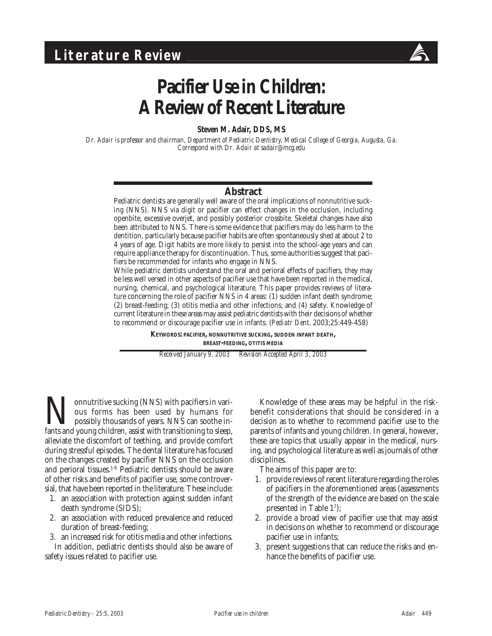

# **Pacifier Use in Children: A Review of Recent Literature**

**Steven M. Adair, DDS, MS**

*Dr. Adair is professor and chairman, Department of Pediatric Dentistry, Medical College of Georgia, Augusta, Ga. Correspond with Dr. Adair at sadair@mcg.edu*

#### **Abstract**

Pediatric dentists are generally well aware of the oral implications of nonnutritive sucking (NNS). NNS via digit or pacifier can effect changes in the occlusion, including openbite, excessive overjet, and possibly posterior crossbite. Skeletal changes have also been attributed to NNS. There is some evidence that pacifiers may do less harm to the dentition, particularly because pacifier habits are often spontaneously shed at about 2 to 4 years of age. Digit habits are more likely to persist into the school-age years and can require appliance therapy for discontinuation. Thus, some authorities suggest that pacifiers be recommended for infants who engage in NNS.

While pediatric dentists understand the oral and perioral effects of pacifiers, they may be less well versed in other aspects of pacifier use that have been reported in the medical, nursing, chemical, and psychological literature. This paper provides reviews of literature concerning the role of pacifier NNS in 4 areas: (1) sudden infant death syndrome; (2) breast-feeding; (3) otitis media and other infections; and (4) safety. Knowledge of current literature in these areas may assist pediatric dentists with their decisions of whether to recommend or discourage pacifier use in infants. (*Pediatr Dent*. 2003;25:449-458)

> **KEYWORDS: PACIFIER, NONNUTRITIVE SUCKING, SUDDEN INFANT DEATH, BREAST-FEEDING, OTITIS MEDIA**

*Received January 9, 2003 Revision Accepted April 3, 2003*

**Nonnutritive sucking (NNS) with pacifiers in various for possibly thousands of years. NNS can soothe infants and young children, assist with transitioning to sleep,** ous forms has been used by humans for possibly thousands of years. NNS can soothe infants and young children, assist with transitioning to sleep, alleviate the discomfort of teething, and provide comfort during stressful episodes. The dental literature has focused on the changes created by pacifier NNS on the occlusion and perioral tissues.<sup>1-6</sup> Pediatric dentists should be aware of other risks and benefits of pacifier use, some controversial, that have been reported in the literature. These include:

- 1. an association with protection against sudden infant death syndrome (SIDS);
- 2. an association with reduced prevalence and reduced duration of breast-feeding;
- 3. an increased risk for otitis media and other infections.

In addition, pediatric dentists should also be aware of safety issues related to pacifier use.

Knowledge of these areas may be helpful in the riskbenefit considerations that should be considered in a decision as to whether to recommend pacifier use to the parents of infants and young children. In general, however, these are topics that usually appear in the medical, nursing, and psychological literature as well as journals of other disciplines.

The aims of this paper are to:

- 1. provide reviews of recent literature regarding the roles of pacifiers in the aforementioned areas (assessments of the strength of the evidence are based on the scale presented in Table 17 );
- 2. provide a broad view of pacifier use that may assist in decisions on whether to recommend or discourage pacifier use in infants;
- 3. present suggestions that can reduce the risks and enhance the benefits of pacifier use.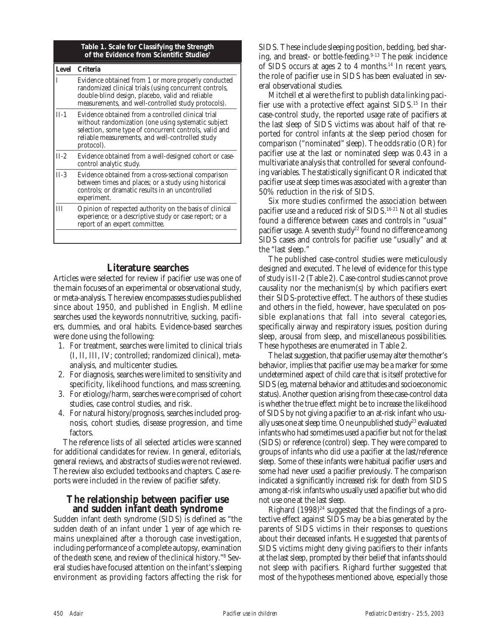|        | Table 1. Scale for Classifying the Strength<br>of the Evidence from Scientific Studies <sup>7</sup>                                                                                                                                   |
|--------|---------------------------------------------------------------------------------------------------------------------------------------------------------------------------------------------------------------------------------------|
|        | Level Criteria                                                                                                                                                                                                                        |
| T      | Evidence obtained from 1 or more properly conducted<br>randomized clinical trials (using concurrent controls,<br>double-blind design, placebo, valid and reliable<br>measurements, and well-controlled study protocols).              |
| $II-1$ | Evidence obtained from a controlled clinical trial<br>without randomization (one using systematic subject<br>selection, some type of concurrent controls, valid and<br>reliable measurements, and well-controlled study<br>protocol). |
| $II-2$ | Evidence obtained from a well-designed cohort or case-<br>control analytic study.                                                                                                                                                     |
| $II-3$ | Evidence obtained from a cross-sectional comparison<br>between times and places; or a study using historical<br>controls; or dramatic results in an uncontrolled<br>experiment.                                                       |
| Ш      | Opinion of respected authority on the basis of clinical<br>experience; or a descriptive study or case report; or a<br>report of an expert committee.                                                                                  |
|        |                                                                                                                                                                                                                                       |

#### **Literature searches**

Articles were selected for review if pacifier use was one of the main focuses of an experimental or observational study, or meta-analysis. The review encompasses studies published since about 1950, and published in English. Medline searches used the keywords nonnutritive, sucking, pacifiers, dummies, and oral habits. Evidence-based searches were done using the following:

- 1. For treatment, searches were limited to clinical trials (I, II, III, IV; controlled; randomized clinical), metaanalysis, and multicenter studies.
- 2. For diagnosis, searches were limited to sensitivity and specificity, likelihood functions, and mass screening.
- 3. For etiology/harm, searches were comprised of cohort studies, case control studies, and risk.
- 4. For natural history/prognosis, searches included prognosis, cohort studies, disease progression, and time factors.

The reference lists of all selected articles were scanned for additional candidates for review. In general, editorials, general reviews, and abstracts of studies were not reviewed. The review also excluded textbooks and chapters. Case reports were included in the review of pacifier safety.

#### **The relationship between pacifier use and sudden infant death syndrome**

Sudden infant death syndrome (SIDS) is defined as "the sudden death of an infant under 1 year of age which remains unexplained after a thorough case investigation, including performance of a complete autopsy, examination of the death scene, and review of the clinical history."8 Several studies have focused attention on the infant's sleeping environment as providing factors affecting the risk for

SIDS. These include sleeping position, bedding, bed sharing, and breast- or bottle-feeding.<sup>9-13</sup> The peak incidence of SIDS occurs at ages 2 to 4 months.14 In recent years, the role of pacifier use in SIDS has been evaluated in several observational studies.

Mitchell et al were the first to publish data linking pacifier use with a protective effect against SIDS.<sup>15</sup> In their case-control study, the reported usage rate of pacifiers at the last sleep of SIDS victims was about half of that reported for control infants at the sleep period chosen for comparison ("nominated" sleep). The odds ratio (OR) for pacifier use at the last or nominated sleep was 0.43 in a multivariate analysis that controlled for several confounding variables. The statistically significant OR indicated that pacifier use at sleep times was associated with a greater than 50% reduction in the risk of SIDS.

Six more studies confirmed the association between pacifier use and a reduced risk of SIDS.16-21 Not all studies found a difference between cases and controls in "usual" pacifier usage. A seventh study<sup>22</sup> found no difference among SIDS cases and controls for pacifier use "usually" and at the "last sleep."

The published case-control studies were meticulously designed and executed. The level of evidence for this type of study is II-2 (Table 2). Case-control studies cannot prove causality nor the mechanism(s) by which pacifiers exert their SIDS-protective effect. The authors of these studies and others in the field, however, have speculated on possible explanations that fall into several categories, specifically airway and respiratory issues, position during sleep, arousal from sleep, and miscellaneous possibilities. These hypotheses are enumerated in Table 2.

The last suggestion, that pacifier use may alter the mother's behavior, implies that pacifier use may be a marker for some undetermined aspect of child care that is itself protective for SIDS (eg, maternal behavior and attitudes and socioeconomic status). Another question arising from these case-control data is whether the true effect might be to increase the likelihood of SIDS by not giving a pacifier to an at-risk infant who usually uses one at sleep time. One unpublished study<sup>23</sup> evaluated infants who had sometimes used a pacifier but not for the last (SIDS) or reference (control) sleep. They were compared to groups of infants who did use a pacifier at the last/reference sleep. Some of these infants were habitual pacifier users and some had never used a pacifier previously. The comparison indicated a significantly increased risk for death from SIDS among at-risk infants who usually used a pacifier but who did not use one at the last sleep.

Righard  $(1998)^{24}$  suggested that the findings of a protective effect against SIDS may be a bias generated by the parents of SIDS victims in their responses to questions about their deceased infants. He suggested that parents of SIDS victims might deny giving pacifiers to their infants at the last sleep, prompted by their belief that infants should not sleep with pacifiers. Righard further suggested that most of the hypotheses mentioned above, especially those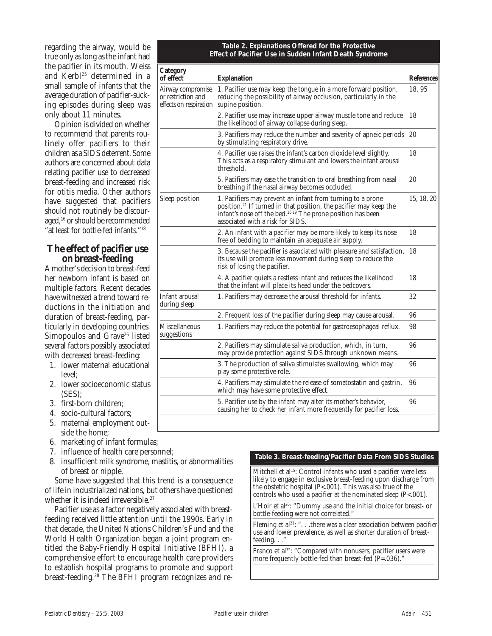regarding the airway, would be true only as long as the infant had the pacifier in its mouth. Weiss and Kerbl<sup>25</sup> determined in a small sample of infants that the average duration of pacifier-sucking episodes during sleep was only about 11 minutes.

Opinion is divided on whether to recommend that parents routinely offer pacifiers to their children as a SIDS deterrent. Some authors are concerned about data relating pacifier use to decreased breast-feeding and increased risk for otitis media. Other authors have suggested that pacifiers should not routinely be discouraged,<sup>16</sup> or should be recommended "at least for bottle-fed infants."<sup>18</sup>

# **The effect of pacifier use on breast-feeding**

A mother's decision to breast-feed her newborn infant is based on multiple factors. Recent decades have witnessed a trend toward reductions in the initiation and duration of breast-feeding, particularly in developing countries. Simopoulos and Grave<sup>26</sup> listed several factors possibly associated with decreased breast-feeding:

- 1. lower maternal educational level;
- 2. lower socioeconomic status (SES);
- 3. first-born children;
- 4. socio-cultural factors;
- 5. maternal employment outside the home;
- 6. marketing of infant formulas;
- 7. influence of health care personnel;
- 8. insufficient milk syndrome, mastitis, or abnormalities of breast or nipple.

Some have suggested that this trend is a consequence of life in industrialized nations, but others have questioned whether it is indeed irreversible.<sup>27</sup>

Pacifier use as a factor negatively associated with breastfeeding received little attention until the 1990s. Early in that decade, the United Nations Children's Fund and the World Health Organization began a joint program entitled the Baby-Friendly Hospital Initiative (BFHI), a comprehensive effort to encourage health care providers to establish hospital programs to promote and support breast-feeding.28 The BFHI program recognizes and re-

| Table 2. Explanations Offered for the Protective       |
|--------------------------------------------------------|
| Effect of Pacifier Use in Sudden Infant Death Syndrome |

| Category<br>of effect                                                              | <b>Explanation</b>                                                                                                                                                                                                                                         | <b>References</b> |
|------------------------------------------------------------------------------------|------------------------------------------------------------------------------------------------------------------------------------------------------------------------------------------------------------------------------------------------------------|-------------------|
| Airway compromise<br>or restriction and<br>effects on respiration supine position. | 1. Pacifier use may keep the tongue in a more forward position,<br>reducing the possibility of airway occlusion, particularly in the                                                                                                                       | 18.95             |
|                                                                                    | 2. Pacifier use may increase upper airway muscle tone and reduce<br>the likelihood of airway collapse during sleep.                                                                                                                                        | 18                |
|                                                                                    | 3. Pacifiers may reduce the number and severity of apneic periods<br>by stimulating respiratory drive.                                                                                                                                                     | -20               |
|                                                                                    | 4. Pacifier use raises the infant's carbon dioxide level slightly.<br>This acts as a respiratory stimulant and lowers the infant arousal<br>threshold.                                                                                                     | 18                |
|                                                                                    | 5. Pacifiers may ease the transition to oral breathing from nasal<br>breathing if the nasal airway becomes occluded.                                                                                                                                       | 20                |
| Sleep position                                                                     | 1. Pacifiers may prevent an infant from turning to a prone<br>position. <sup>21</sup> If turned in that position, the pacifier may keep the<br>infant's nose off the bed. <sup>16,19</sup> The prone position has been<br>associated with a risk for SIDS. | 15, 18, 20        |
|                                                                                    | 2. An infant with a pacifier may be more likely to keep its nose<br>free of bedding to maintain an adequate air supply.                                                                                                                                    | 18                |
|                                                                                    | 3. Because the pacifier is associated with pleasure and satisfaction,<br>its use will promote less movement during sleep to reduce the<br>risk of losing the pacifier.                                                                                     | 18                |
|                                                                                    | 4. A pacifier quiets a restless infant and reduces the likelihood<br>that the infant will place its head under the bedcovers.                                                                                                                              | 18                |
| Infant arousal<br>during sleep                                                     | 1. Pacifiers may decrease the arousal threshold for infants.                                                                                                                                                                                               | 32                |
|                                                                                    | 2. Frequent loss of the pacifier during sleep may cause arousal.                                                                                                                                                                                           | 96                |
| Miscellaneous<br>suggestions                                                       | 1. Pacifiers may reduce the potential for gastroesophageal reflux.                                                                                                                                                                                         | 98                |
|                                                                                    | 2. Pacifiers may stimulate saliva production, which, in turn,<br>may provide protection against SIDS through unknown means.                                                                                                                                | 96                |
|                                                                                    | 3. The production of saliva stimulates swallowing, which may<br>play some protective role.                                                                                                                                                                 | 96                |
|                                                                                    | 4. Pacifiers may stimulate the release of somatostatin and gastrin,<br>which may have some protective effect.                                                                                                                                              | 96                |
|                                                                                    | 5. Pacifier use by the infant may alter its mother's behavior,<br>causing her to check her infant more frequently for pacifier loss.                                                                                                                       | 96                |

#### **Table 3. Breast-feeding/Pacifier Data From SIDS Studies**

Mitchell et al<sup>15</sup>: Control infants who used a pacifier were less likely to engage in exclusive breast-feeding upon discharge from the obstetric hospital (*P*<.001). This was also true of the controls who used a pacifier at the nominated sleep (*P*<.001).

L'Hoir et al<sup>20</sup>: "Dummy use and the initial choice for breast- or bottle-feeding were not correlated."

Fleming et al<sup>21</sup>: " $\dots$  there was a clear association between pacifier use and lower prevalence, as well as shorter duration of breastfeeding.  $\ldots$ 

Franco et al<sup>32</sup>: "Compared with nonusers, pacifier users were more frequently bottle-fed than breast-fed (*P*=.036)."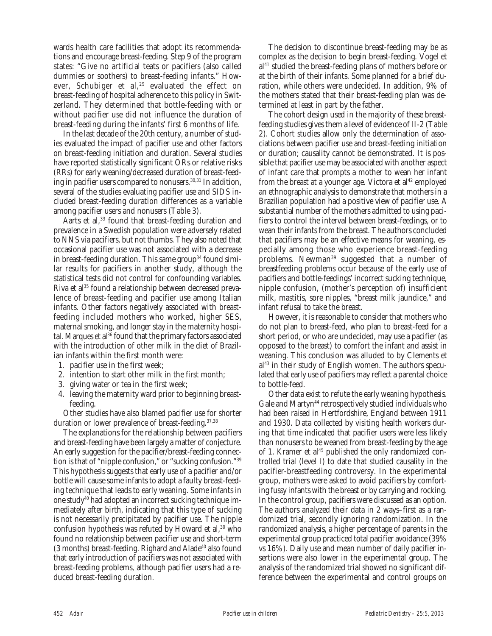wards health care facilities that adopt its recommendations and encourage breast-feeding. Step 9 of the program states: "Give no artificial teats or pacifiers (also called dummies or soothers) to breast-feeding infants." However, Schubiger et al,<sup>29</sup> evaluated the effect on breast-feeding of hospital adherence to this policy in Switzerland. They determined that bottle-feeding with or without pacifier use did not influence the duration of breast-feeding during the infants' first 6 months of life.

In the last decade of the 20th century, a number of studies evaluated the impact of pacifier use and other factors on breast-feeding initiation and duration. Several studies have reported statistically significant ORs or relative risks (RRs) for early weaning/decreased duration of breast-feeding in pacifier users compared to nonusers.<sup>30,31</sup> In addition, several of the studies evaluating pacifier use and SIDS included breast-feeding duration differences as a variable among pacifier users and nonusers (Table 3).

Aarts et al,<sup>33</sup> found that breast-feeding duration and prevalence in a Swedish population were adversely related to NNS via pacifiers, but not thumbs. They also noted that occasional pacifier use was not associated with a decrease in breast-feeding duration. This same group<sup>34</sup> found similar results for pacifiers in another study, although the statistical tests did not control for confounding variables. Riva et al<sup>35</sup> found a relationship between decreased prevalence of breast-feeding and pacifier use among Italian infants. Other factors negatively associated with breastfeeding included mothers who worked, higher SES, maternal smoking, and longer stay in the maternity hospital. Marques et al<sup>36</sup> found that the primary factors associated with the introduction of other milk in the diet of Brazilian infants within the first month were:

- 1. pacifier use in the first week;
- 2. intention to start other milk in the first month;
- 3. giving water or tea in the first week;
- 4. leaving the maternity ward prior to beginning breastfeeding.

Other studies have also blamed pacifier use for shorter duration or lower prevalence of breast-feeding.<sup>37,38</sup>

The explanations for the relationship between pacifiers and breast-feeding have been largely a matter of conjecture. An early suggestion for the pacifier/breast-feeding connection is that of "nipple confusion," or "sucking confusion."39 This hypothesis suggests that early use of a pacifier and/or bottle will cause some infants to adopt a faulty breast-feeding technique that leads to early weaning. Some infants in one study40 had adopted an incorrect sucking technique immediately after birth, indicating that this type of sucking is not necessarily precipitated by pacifier use. The nipple confusion hypothesis was refuted by Howard et al,<sup>30</sup> who found no relationship between pacifier use and short-term  $(3$  months) breast-feeding. Righard and Alade<sup>40</sup> also found that early introduction of pacifiers was not associated with breast-feeding problems, although pacifier users had a reduced breast-feeding duration.

The decision to discontinue breast-feeding may be as complex as the decision to begin breast-feeding. Vogel et al<sup>41</sup> studied the breast-feeding plans of mothers before or at the birth of their infants. Some planned for a brief duration, while others were undecided. In addition, 9% of the mothers stated that their breast-feeding plan was determined at least in part by the father.

The cohort design used in the majority of these breastfeeding studies gives them a level of evidence of II-2 (Table 2). Cohort studies allow only the determination of associations between pacifier use and breast-feeding initiation or duration; causality cannot be demonstrated. It is possible that pacifier use may be associated with another aspect of infant care that prompts a mother to wean her infant from the breast at a younger age. Victora et al<sup>42</sup> employed an ethnographic analysis to demonstrate that mothers in a Brazilian population had a positive view of pacifier use. A substantial number of the mothers admitted to using pacifiers to control the interval between breast-feedings, or to wean their infants from the breast. The authors concluded that pacifiers may be an effective means for weaning, especially among those who experience breast-feeding problems. Newman<sup>39</sup> suggested that a number of breastfeeding problems occur because of the early use of pacifiers and bottle-feedings' incorrect sucking technique, nipple confusion, (mother's perception of) insufficient milk, mastitis, sore nipples, "breast milk jaundice," and infant refusal to take the breast.

However, it is reasonable to consider that mothers who do not plan to breast-feed, who plan to breast-feed for a short period, or who are undecided, may use a pacifier (as opposed to the breast) to comfort the infant and assist in weaning. This conclusion was alluded to by Clements et al43 in their study of English women. The authors speculated that early use of pacifiers may reflect a parental choice to bottle-feed.

Other data exist to refute the early weaning hypothesis. Gale and Martyn<sup>44</sup> retrospectively studied individuals who had been raised in Hertfordshire, England between 1911 and 1930. Data collected by visiting health workers during that time indicated that pacifier users were less likely than nonusers to be weaned from breast-feeding by the age of 1. Kramer et al<sup>45</sup> published the only randomized controlled trial (level I) to date that studied causality in the pacifier-breastfeeding controversy. In the experimental group, mothers were asked to avoid pacifiers by comforting fussy infants with the breast or by carrying and rocking. In the control group, pacifiers were discussed as an option. The authors analyzed their data in 2 ways–first as a randomized trial, secondly ignoring randomization. In the randomized analysis, a higher percentage of parents in the experimental group practiced total pacifier avoidance (39% vs 16%). Daily use and mean number of daily pacifier insertions were also lower in the experimental group. The analysis of the randomized trial showed no significant difference between the experimental and control groups on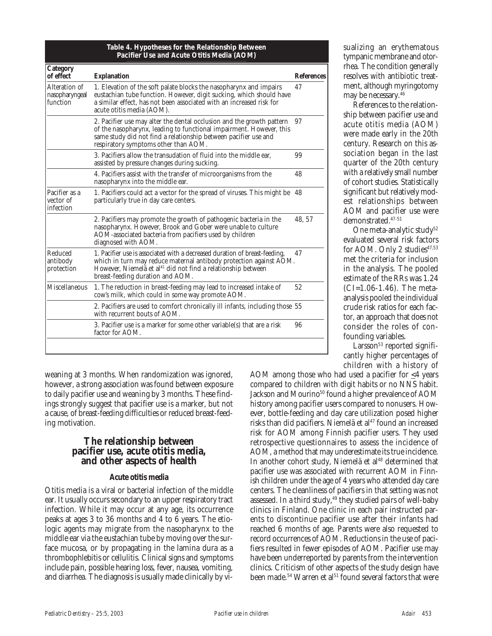| Category<br>of effect                       | <b>Explanation</b>                                                                                                                                                                                                                                               | <b>References</b> |
|---------------------------------------------|------------------------------------------------------------------------------------------------------------------------------------------------------------------------------------------------------------------------------------------------------------------|-------------------|
| Alteration of<br>nasopharyngeal<br>function | 1. Elevation of the soft palate blocks the nasopharynx and impairs<br>eustachian tube function. However, digit sucking, which should have<br>a similar effect, has not been associated with an increased risk for<br>acute otitis media (AOM).                   | 47                |
|                                             | 2. Pacifier use may alter the dental occlusion and the growth pattern<br>of the nasopharynx, leading to functional impairment. However, this<br>same study did not find a relationship between pacifier use and<br>respiratory symptoms other than AOM.          | 97                |
|                                             | 3. Pacifiers allow the transudation of fluid into the middle ear.<br>assisted by pressure changes during sucking.                                                                                                                                                | 99                |
|                                             | 4. Pacifiers assist with the transfer of microorganisms from the<br>nasopharynx into the middle ear.                                                                                                                                                             | 48                |
| Pacifier as a<br>vector of<br>infection     | 1. Pacifiers could act a vector for the spread of viruses. This might be 48<br>particularly true in day care centers.                                                                                                                                            |                   |
|                                             | 2. Pacifiers may promote the growth of pathogenic bacteria in the<br>nasopharynx. However, Brook and Gober were unable to culture<br>AOM-associated bacteria from pacifiers used by children<br>diagnosed with AOM.                                              | 48.57             |
| Reduced<br>antibody<br>protection           | 1. Pacifier use is associated with a decreased duration of breast-feeding,<br>which in turn may reduce maternal antibody protection against AOM.<br>However, Niemelä et al <sup>41</sup> did not find a relationship between<br>breast-feeding duration and AOM. | 47                |
| Miscellaneous                               | 1. The reduction in breast-feeding may lead to increased intake of<br>cow's milk, which could in some way promote AOM.                                                                                                                                           | 52                |
|                                             | 2. Pacifiers are used to comfort chronically ill infants, including those 55<br>with recurrent bouts of AOM.                                                                                                                                                     |                   |
|                                             | 3. Pacifier use is a marker for some other variable(s) that are a risk<br>factor for AOM.                                                                                                                                                                        | 96                |

**Table 4. Hypotheses for the Relationship Between**

weaning at 3 months. When randomization was ignored, however, a strong association was found between exposure to daily pacifier use and weaning by 3 months. These findings strongly suggest that pacifier use is a marker, but not a cause, of breast-feeding difficulties or reduced breast-feeding motivation.

### **The relationship between pacifier use, acute otitis media, and other aspects of health**

#### **Acute otitis media**

Otitis media is a viral or bacterial infection of the middle ear. It usually occurs secondary to an upper respiratory tract infection. While it may occur at any age, its occurrence peaks at ages 3 to 36 months and 4 to 6 years. The etiologic agents may migrate from the nasopharynx to the middle ear via the eustachian tube by moving over the surface mucosa, or by propagating in the lamina dura as a thrombophlebitis or cellulitis. Clinical signs and symptoms include pain, possible hearing loss, fever, nausea, vomiting, and diarrhea. The diagnosis is usually made clinically by visualizing an erythematous tympanic membrane and otorrhea. The condition generally resolves with antibiotic treatment, although myringotomy may be necessary.46

References to the relationship between pacifier use and acute otitis media (AOM) were made early in the 20th century. Research on this association began in the last quarter of the 20th century with a relatively small number of cohort studies. Statistically significant but relatively modest relationships between AOM and pacifier use were demonstrated.47-51

One meta-analytic study<sup>52</sup> evaluated several risk factors for AOM. Only 2 studies $47,53$ met the criteria for inclusion in the analysis. The pooled estimate of the RRs was 1.24 (CI=1.06-1.46). The metaanalysis pooled the individual crude risk ratios for each factor, an approach that does not consider the roles of confounding variables.

Larsson<sup>53</sup> reported significantly higher percentages of children with a history of

AOM among those who had used a pacifier for  $\leq 4$  years compared to children with digit habits or no NNS habit. Jackson and Mourino<sup>50</sup> found a higher prevalence of AOM history among pacifier users compared to nonusers. However, bottle-feeding and day care utilization posed higher risks than did pacifiers. Niemelä et al<sup>47</sup> found an increased risk for AOM among Finnish pacifier users. They used retrospective questionnaires to assess the incidence of AOM, a method that may underestimate its true incidence. In another cohort study, Niemelä et al<sup>48</sup> determined that pacifier use was associated with recurrent AOM in Finnish children under the age of 4 years who attended day care centers. The cleanliness of pacifiers in that setting was not assessed. In a third study,<sup>49</sup> they studied pairs of well-baby clinics in Finland. One clinic in each pair instructed parents to discontinue pacifier use after their infants had reached 6 months of age. Parents were also requested to record occurrences of AOM. Reductions in the use of pacifiers resulted in fewer episodes of AOM. Pacifier use may have been underreported by parents from the intervention clinics. Criticism of other aspects of the study design have been made.<sup>54</sup> Warren et al<sup>51</sup> found several factors that were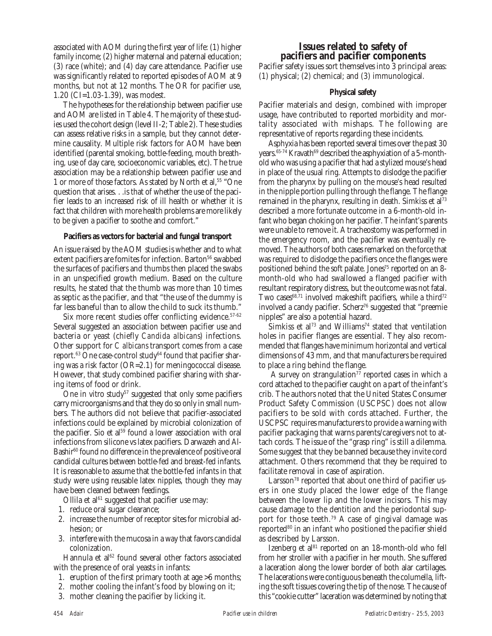associated with AOM during the first year of life: (1) higher family income; (2) higher maternal and paternal education; (3) race (white); and (4) day care attendance. Pacifier use was significantly related to reported episodes of AOM at 9 months, but not at 12 months. The OR for pacifier use, 1.20 (CI=1.03-1.39), was modest.

The hypotheses for the relationship between pacifier use and AOM are listed in Table 4. The majority of these studies used the cohort design (level II-2; Table 2). These studies can assess relative risks in a sample, but they cannot determine causality. Multiple risk factors for AOM have been identified (parental smoking, bottle-feeding, mouth breathing, use of day care, socioeconomic variables, etc). The true association may be a relationship between pacifier use and 1 or more of those factors. As stated by North et al,<sup>55</sup> "One question that arises. . .is that of whether the use of the pacifier leads to an increased risk of ill health or whether it is fact that children with more health problems are more likely to be given a pacifier to soothe and comfort."

#### **Pacifiers as vectors for bacterial and fungal transport**

An issue raised by the AOM studies is whether and to what extent pacifiers are fomites for infection. Barton<sup>56</sup> swabbed the surfaces of pacifiers and thumbs then placed the swabs in an unspecified growth medium. Based on the culture results, he stated that the thumb was more than 10 times as septic as the pacifier, and that "the use of the dummy is far less baneful than to allow the child to suck its thumb."

Six more recent studies offer conflicting evidence.<sup>57-62</sup> Several suggested an association between pacifier use and bacteria or yeast (chiefly *Candida albicans*) infections. Other support for *C albicans* transport comes from a case report.<sup>63</sup> One case-control study<sup>64</sup> found that pacifier sharing was a risk factor (OR=2.1) for meningococcal disease. However, that study combined pacifier sharing with sharing items of food or drink.

One in vitro study<sup>57</sup> suggested that only some pacifiers carry microorganisms and that they do so only in small numbers. The authors did not believe that pacifier-associated infections could be explained by microbial colonization of the pacifier. Sio et al<sup>59</sup> found a lower association with oral infections from silicone vs latex pacifiers. Darwazeh and Al-Bashir<sup>60</sup> found no difference in the prevalence of positive oral candidal cultures between bottle-fed and breast-fed infants. It is reasonable to assume that the bottle-fed infants in that study were using reusable latex nipples, though they may have been cleaned between feedings.

Ollila et al $61$  suggested that pacifier use may:

- 1. reduce oral sugar clearance;
- 2. increase the number of receptor sites for microbial adhesion; or
- 3. interfere with the mucosa in a way that favors candidal colonization.

Hannula et al<sup>62</sup> found several other factors associated with the presence of oral yeasts in infants:

- 1. eruption of the first primary tooth at age >6 months;
- 2. mother cooling the infant's food by blowing on it;
- 3. mother cleaning the pacifier by licking it.

# **Issues related to safety of pacifiers and pacifier components**

Pacifier safety issues sort themselves into 3 principal areas: (1) physical; (2) chemical; and (3) immunological.

#### **Physical safety**

Pacifier materials and design, combined with improper usage, have contributed to reported morbidity and mortality associated with mishaps. The following are representative of reports regarding these incidents.

Asphyxia has been reported several times over the past 30 years.<sup>65-74</sup> Kravath<sup>69</sup> described the asphyxiation of a 5-monthold who was using a pacifier that had a stylized mouse's head in place of the usual ring. Attempts to dislodge the pacifier from the pharynx by pulling on the mouse's head resulted in the nipple portion pulling through the flange. The flange remained in the pharynx, resulting in death. Simkiss et al<sup>73</sup> described a more fortunate outcome in a 6-month-old infant who began choking on her pacifier. The infant's parents were unable to remove it. A tracheostomy was performed in the emergency room, and the pacifier was eventually removed. The authors of both cases remarked on the force that was required to dislodge the pacifiers once the flanges were positioned behind the soft palate. Jones<sup>75</sup> reported on an 8month-old who had swallowed a flanged pacifier with resultant respiratory distress, but the outcome was not fatal. Two cases<sup>68,71</sup> involved makeshift pacifiers, while a third<sup>72</sup> involved a candy pacifier. Scherz<sup>76</sup> suggested that "preemie nipples" are also a potential hazard.

Simkiss et al<sup>73</sup> and Williams<sup>74</sup> stated that ventilation holes in pacifier flanges are essential. They also recommended that flanges have minimum horizontal and vertical dimensions of 43 mm, and that manufacturers be required to place a ring behind the flange.

A survey on strangulation<sup>77</sup> reported cases in which a cord attached to the pacifier caught on a part of the infant's crib. The authors noted that the United States Consumer Product Safety Commission (USCPSC) does not allow pacifiers to be sold with cords attached. Further, the USCPSC requires manufacturers to provide a warning with pacifier packaging that warns parents/caregivers not to attach cords. The issue of the "grasp ring" is still a dilemma. Some suggest that they be banned because they invite cord attachment. Others recommend that they be required to facilitate removal in case of aspiration.

Larsson<sup>78</sup> reported that about one third of pacifier users in one study placed the lower edge of the flange between the lower lip and the lower incisors. This may cause damage to the dentition and the periodontal support for those teeth.79 A case of gingival damage was reported<sup>80</sup> in an infant who positioned the pacifier shield as described by Larsson.

Izenberg et al<sup>81</sup> reported on an 18-month-old who fell from her stroller with a pacifier in her mouth. She suffered a laceration along the lower border of both alar cartilages. The lacerations were contiguous beneath the columella, lifting the soft tissues covering the tip of the nose. The cause of this "cookie cutter" laceration was determined by noting that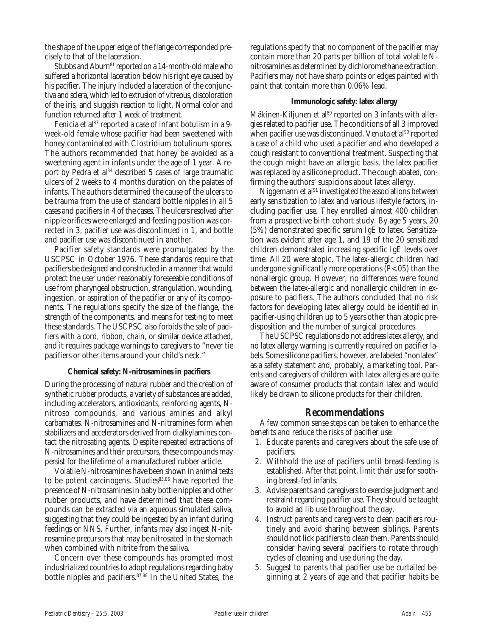the shape of the upper edge of the flange corresponded precisely to that of the laceration.

Stubbs and Aburn<sup>81</sup> reported on a 14-month-old male who suffered a horizontal laceration below his right eye caused by his pacifier. The injury included a laceration of the conjunctiva and sclera, which led to extrusion of vitreous, discoloration of the iris, and sluggish reaction to light. Normal color and function returned after 1 week of treatment.

Fenicia et al<sup>83</sup> reported a case of infant botulism in a 9week-old female whose pacifier had been sweetened with honey contaminated with Clostridium botulinum spores. The authors recommended that honey be avoided as a sweetening agent in infants under the age of 1 year. A report by Pedra et al<sup>84</sup> described 5 cases of large traumatic ulcers of 2 weeks to 4 months duration on the palates of infants. The authors determined the cause of the ulcers to be trauma from the use of standard bottle nipples in all 5 cases and pacifiers in 4 of the cases. The ulcers resolved after nipple orifices were enlarged and feeding position was corrected in 3, pacifier use was discontinued in 1, and bottle and pacifier use was discontinued in another.

Pacifier safety standards were promulgated by the USCPSC in October 1976. These standards require that pacifiers be designed and constructed in a manner that would protect the user under reasonably foreseeable conditions of use from pharyngeal obstruction, strangulation, wounding, ingestion, or aspiration of the pacifier or any of its components. The regulations specify the size of the flange, the strength of the components, and means for testing to meet these standards. The USCPSC also forbids the sale of pacifiers with a cord, ribbon, chain, or similar device attached, and it requires package warnings to caregivers to "never tie pacifiers or other items around your child's neck."

#### **Chemical safety: N-nitrosamines in pacifiers**

During the processing of natural rubber and the creation of synthetic rubber products, a variety of substances are added, including accelerators, antioxidants, reinforcing agents, Nnitroso compounds, and various amines and alkyl carbamates. N-nitrosamines and N-nitramines form when stabilizers and accelerators derived from dialkylamines contact the nitrosating agents. Despite repeated extractions of N-nitrosamines and their precursors, these compounds may persist for the lifetime of a manufactured rubber article.

Volatile N-nitrosamines have been shown in animal tests to be potent carcinogens. Studies<sup>85,86</sup> have reported the presence of N-nitrosamines in baby bottle nipples and other rubber products, and have determined that these compounds can be extracted via an aqueous simulated saliva, suggesting that they could be ingested by an infant during feedings or NNS. Further, infants may also ingest N-nitrosamine precursors that may be nitrosated in the stomach when combined with nitrite from the saliva.

Concern over these compounds has prompted most industrialized countries to adopt regulations regarding baby bottle nipples and pacifiers.87,88 In the United States, the

regulations specify that no component of the pacifier may contain more than 20 parts per billion of total volatile Nnitrosamines as determined by dichloromethane extraction. Pacifiers may not have sharp points or edges painted with paint that contain more than 0.06% lead.

#### **Immunologic safety: latex allergy**

Mäkinen-Kiljunen et al<sup>89</sup> reported on 3 infants with allergies related to pacifier use. The conditions of all 3 improved when pacifier use was discontinued. Venuta et al<sup>90</sup> reported a case of a child who used a pacifier and who developed a cough resistant to conventional treatment. Suspecting that the cough might have an allergic basis, the latex pacifier was replaced by a silicone product. The cough abated, confirming the authors' suspicions about latex allergy.

Niggemann et al<sup>91</sup> investigated the associations between early sensitization to latex and various lifestyle factors, including pacifier use. They enrolled almost 400 children from a prospective birth cohort study. By age 5 years, 20 (5%) demonstrated specific serum IgE to latex. Sensitization was evident after age 1, and 19 of the 20 sensitized children demonstrated increasing specific IgE levels over time. All 20 were atopic. The latex-allergic children had undergone significantly more operations (*P*<.05) than the nonallergic group. However, no differences were found between the latex-allergic and nonallergic children in exposure to pacifiers. The authors concluded that no risk factors for developing latex allergy could be identified in pacifier-using children up to 5 years other than atopic predisposition and the number of surgical procedures.

The USCPSC regulations do not address latex allergy, and no latex allergy warning is currently required on pacifier labels. Some silicone pacifiers, however, are labeled "nonlatex" as a safety statement and, probably, a marketing tool. Parents and caregivers of children with latex allergies are quite aware of consumer products that contain latex and would likely be drawn to silicone products for their children.

#### **Recommendations**

A few common sense steps can be taken to enhance the benefits and reduce the risks of pacifier use:

- 1. Educate parents and caregivers about the safe use of pacifiers.
- 2. Withhold the use of pacifiers until breast-feeding is established. After that point, limit their use for soothing breast-fed infants.
- 3. Advise parents and caregivers to exercise judgment and restraint regarding pacifier use. They should be taught to avoid ad lib use throughout the day.
- 4. Instruct parents and caregivers to clean pacifiers routinely and avoid sharing between siblings. Parents should not lick pacifiers to clean them. Parents should consider having several pacifiers to rotate through cycles of cleaning and use during the day.
- 5. Suggest to parents that pacifier use be curtailed beginning at 2 years of age and that pacifier habits be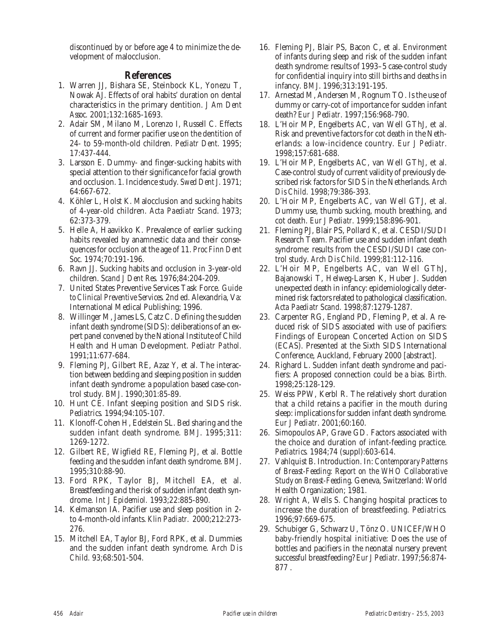discontinued by or before age 4 to minimize the development of malocclusion.

#### **References**

- 1. Warren JJ, Bishara SE, Steinbock KL, Yonezu T, Nowak AJ. Effects of oral habits' duration on dental characteristics in the primary dentition. *J Am Dent Assoc.* 2001;132:1685-1693.
- 2. Adair SM, Milano M, Lorenzo I, Russell C. Effects of current and former pacifier use on the dentition of 24- to 59-month-old children. *Pediatr Dent*. 1995; 17:437-444.
- 3. Larsson E. Dummy- and finger-sucking habits with special attention to their significance for facial growth and occlusion. 1. Incidence study. *Swed Dent J.* 1971; 64:667-672.
- 4. Köhler L, Holst K. Malocclusion and sucking habits of 4-year-old children. *Acta Paediatr Scand*. 1973; 62:373-379.
- 5. Helle A, Haavikko K. Prevalence of earlier sucking habits revealed by anamnestic data and their consequences for occlusion at the age of 11. *Proc Finn Dent Soc.* 1974;70:191-196.
- 6. Ravn JJ. Sucking habits and occlusion in 3-year-old children. *Scand J Dent Res*. 1976;84:204-209.
- 7. United States Preventive Services Task Force. *Guide to Clinical Preventive Services.* 2nd ed. Alexandria, Va: International Medical Publishing; 1996.
- 8. Willinger M, James LS, Catz C. Defining the sudden infant death syndrome (SIDS): deliberations of an expert panel convened by the National Institute of Child Health and Human Development. *Pediatr Pathol.* 1991;11:677-684.
- 9. Fleming PJ, Gilbert RE, Azaz Y, et al. The interaction between bedding and sleeping position in sudden infant death syndrome: a population based case-control study. *BMJ*. 1990;301:85-89.
- 10. Hunt CE. Infant sleeping position and SIDS risk. *Pediatrics*. 1994;94:105-107.
- 11. Klonoff-Cohen H, Edelstein SL. Bed sharing and the sudden infant death syndrome. *BMJ*. 1995;311: 1269-1272.
- 12. Gilbert RE, Wigfield RE, Fleming PJ, et al. Bottle feeding and the sudden infant death syndrome. *BMJ*. 1995;310:88-90.
- 13. Ford RPK, Taylor BJ, Mitchell EA, et al. Breastfeeding and the risk of sudden infant death syndrome. *Int J Epidemiol.* 1993;22:885-890.
- 14. Kelmanson IA. Pacifier use and sleep position in 2 to 4-month-old infants. *Klin Padiatr*. 2000;212:273- 276.
- 15. Mitchell EA, Taylor BJ, Ford RPK, et al. Dummies and the sudden infant death syndrome. *Arch Dis Child.* 93;68:501-504.
- 16. Fleming PJ, Blair PS, Bacon C, et al. Environment of infants during sleep and risk of the sudden infant death syndrome: results of 1993–5 case-control study for confidential inquiry into still births and deaths in infancy. *BMJ*. 1996;313:191-195.
- 17. Arnestad M, Andersen M, Rognum TO. Is the use of dummy or carry-cot of importance for sudden infant death? *Eur J Pediatr*. 1997;156:968-790.
- 18. L'Hoir MP, Engelberts AC, van Well GThJ, et al. Risk and preventive factors for cot death in the Netherlands: a low-incidence country. *Eur J Pediatr.* 1998;157:681-688.
- 19. L'Hoir MP, Engelberts AC, van Well GThJ, et al. Case-control study of current validity of previously described risk factors for SIDS in the Netherlands. *Arch Dis Child*. 1998;79:386-393.
- 20. L'Hoir MP, Engelberts AC, van Well GTJ, et al. Dummy use, thumb sucking, mouth breathing, and cot death. *Eur J Pediatr*. 1999;158:896-901.
- 21. Fleming PJ, Blair PS, Pollard K, et al. CESDI/SUDI Research Team. Pacifier use and sudden infant death syndrome: results from the CESDI/SUDI case control study. *Arch Dis Child*. 1999;81:112-116.
- 22. L'Hoir MP, Engelberts AC, van Well GThJ, Bajanowski T, Helweg-Larsen K, Huber J. Sudden unexpected death in infancy: epidemiologically determined risk factors related to pathological classification. *Acta Paediatr Scand*. 1998;87:1279-1287.
- 23. Carpenter RG, England PD, Fleming P, et al. A reduced risk of SIDS associated with use of pacifiers: Findings of European Concerted Action on SIDS (ECAS). Presented at the Sixth SIDS International Conference, Auckland, February 2000 [abstract].
- 24. Righard L. Sudden infant death syndrome and pacifiers: A proposed connection could be a bias. *Birth.* 1998;25:128-129.
- 25. Weiss PPW, Kerbl R. The relatively short duration that a child retains a pacifier in the mouth during sleep: implications for sudden infant death syndrome. *Eur J Pediatr*. 2001;60:160.
- 26. Simopoulos AP, Grave GD. Factors associated with the choice and duration of infant-feeding practice. *Pediatrics*. 1984;74 (suppl):603-614.
- 27. Vahlquist B. Introduction. In: *Contemporary Patterns of Breast-Feeding: Report on the WHO Collaborative Study on Breast-Feeding*. Geneva, Switzerland: World Health Organization; 1981.
- 28. Wright A, Wells S. Changing hospital practices to increase the duration of breastfeeding. *Pediatrics.* 1996;97:669-675.
- 29. Schubiger G, Schwarz U, Tönz O. UNICEF/WHO baby-friendly hospital initiative: Does the use of bottles and pacifiers in the neonatal nursery prevent successful breastfeeding? *Eur J Pediatr*. 1997;56:874- 877 .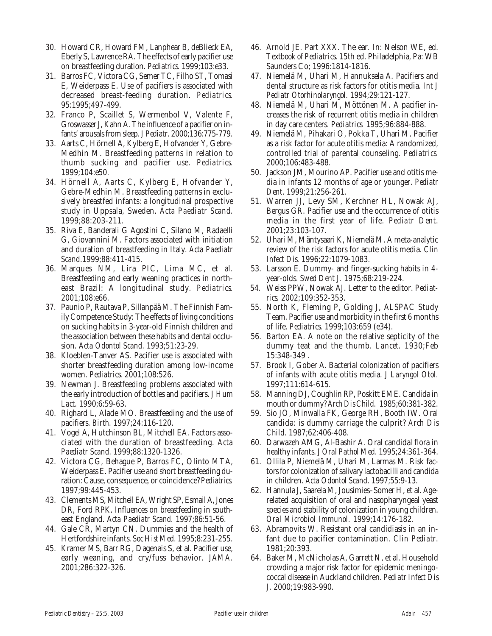- 30. Howard CR, Howard FM, Lanphear B, deBlieck EA, Eberly S, Lawrence RA. The effects of early pacifier use on breastfeeding duration. *Pediatrics.* 1999;103:e33.
- 31. Barros FC, Victora CG, Semer TC, Filho ST, Tomasi E, Weiderpass E. Use of pacifiers is associated with decreased breast-feeding duration. *Pediatrics.* 95:1995;497-499.
- 32. Franco P, Scaillet S, Wermenbol V, Valente F, Groswasser J, Kahn A. The influence of a pacifier on infants' arousals from sleep.*J Pediatr.* 2000;136:775-779.
- 33. Aarts C, Hörnell A, Kylberg E, Hofvander Y, Gebre-Medhin M. Breastfeeding patterns in relation to thumb sucking and pacifier use. *Pediatrics.* 1999;104:e50.
- 34. Hörnell A, Aarts C, Kylberg E, Hofvander Y, Gebre-Medhin M. Breastfeeding patterns in exclusively breastfed infants: a longitudinal prospective study in Uppsala, Sweden. *Acta Paediatr Scand*. 1999;88:203-211.
- 35. Riva E, Banderali G Agostini C, Silano M, Radaelli G, Giovannini M. Factors associated with initiation and duration of breastfeeding in Italy. *Acta Paediatr Scand*.1999;88:411-415.
- 36. Marques NM, Lira PIC, Lima MC, et al. Breastfeeding and early weaning practices in northeast Brazil: A longitudinal study. *Pediatrics*. 2001;108:e66.
- 37. Paunio P, Rautava P, Sillanpää M. The Finnish Family Competence Study: The effects of living conditions on sucking habits in 3-year-old Finnish children and the association between these habits and dental occlusion. *Acta Odontol Scand.* 1993;51:23-29.
- 38. Kloeblen-Tanver AS. Pacifier use is associated with shorter breastfeeding duration among low-income women. *Pediatrics.* 2001;108:526.
- 39. Newman J. Breastfeeding problems associated with the early introduction of bottles and pacifiers. *J Hum Lact.* 1990;6:59-63.
- 40. Righard L, Alade MO. Breastfeeding and the use of pacifiers. *Birth.* 1997;24:116-120.
- 41. Vogel A, Hutchinson BL, Mitchell EA. Factors associated with the duration of breastfeeding. *Acta Paediatr Scand.* 1999;88:1320-1326.
- 42. Victora CG, Behague P, Barros FC, Olinto MTA, Weiderpass E. Pacifier use and short breastfeeding duration: Cause, consequence, or coincidence? *Pediatrics.* 1997;99:445-453.
- 43. Clements MS, Mitchell EA, Wright SP, Esmail A, Jones DR, Ford RPK. Influences on breastfeeding in southeast England. *Acta Paediatr Scand.* 1997;86:51-56.
- 44. Gale CR, Martyn CN. Dummies and the health of Hertfordshire infants. *Soc Hist Med.* 1995;8:231-255.
- 45. Kramer MS, Barr RG, Dagenais S, et al. Pacifier use, early weaning, and cry/fuss behavior. *JAMA*. 2001;286:322-326.
- 46. Arnold JE. Part XXX. The ear. In: Nelson WE, ed. *Textbook of Pediatrics*. 15th ed. Philadelphia, Pa: WB Saunders Co; 1996:1814-1816.
- 47. Niemelä M, Uhari M, Hannuksela A. Pacifiers and dental structure as risk factors for otitis media. *Int J Pediatr Otorhinolaryngol.* 1994;29:121-127.
- 48. Niemelä M, Uhari M, Möttönen M. A pacifier increases the risk of recurrent otitis media in children in day care centers. *Pediatrics.* 1995;96:884-888.
- 49. Niemelä M, Pihakari O, Pokka T, Uhari M. Pacifier as a risk factor for acute otitis media: A randomized, controlled trial of parental counseling. *Pediatrics.* 2000;106:483-488.
- 50. Jackson JM, Mourino AP. Pacifier use and otitis media in infants 12 months of age or younger. *Pediatr Dent*. 1999;21:256-261.
- 51. Warren JJ, Levy SM, Kerchner HL, Nowak AJ, Bergus GR. Pacifier use and the occurrence of otitis media in the first year of life. *Pediatr Dent*. 2001;23:103-107.
- 52. Uhari M, Mäntysaari K, Niemelä M. A meta-analytic review of the risk factors for acute otitis media. *Clin Infect Dis.* 1996;22:1079-1083.
- 53. Larsson E. Dummy- and finger-sucking habits in 4 year-olds. *Swed Dent J.* 1975;68:219-224.
- 54. Weiss PPW, Nowak AJ. Letter to the editor. *Pediatrics.* 2002;109:352-353.
- 55. North K, Fleming P, Golding J, ALSPAC Study Team. Pacifier use and morbidity in the first 6 months of life. *Pediatrics.* 1999;103:659 (e34).
- 56. Barton EA. A note on the relative septicity of the dummy teat and the thumb. *Lancet.* 1930;Feb 15:348-349 .
- 57. Brook I, Gober A. Bacterial colonization of pacifiers of infants with acute otitis media. *J Laryngol Otol.* 1997;111:614-615.
- 58. Manning DJ, Coughlin RP, Poskitt EME. Candida in mouth or dummy? *Arch Dis Child.* 1985;60:381-382.
- 59. Sio JO, Minwalla FK, George RH, Booth IW. Oral candida: is dummy carriage the culprit? *Arch Dis Child.* 1987;62:406-408.
- 60. Darwazeh AMG, Al-Bashir A. Oral candidal flora in healthy infants. *J Oral Pathol Med.* 1995;24:361-364.
- 61. Ollila P, Niemelä M, Uhari M, Larmas M. Risk factors for colonization of salivary lactobacilli and candida in children. *Acta Odontol Scand*. 1997;55:9-13.
- 62. Hannula J, Saarela M, Jousimies–Somer H, et al. Agerelated acquisition of oral and nasopharyngeal yeast species and stability of colonization in young children. *Oral Microbiol Immunol*. 1999;14:176-182.
- 63. Abramovits W. Resistant oral candidiasis in an infant due to pacifier contamination. *Clin Pediatr*. 1981;20:393.
- 64. Baker M, McNicholas A, Garrett N, et al. Household crowding a major risk factor for epidemic meningococcal disease in Auckland children. *Pediatr Infect Dis J.* 2000;19:983-990.